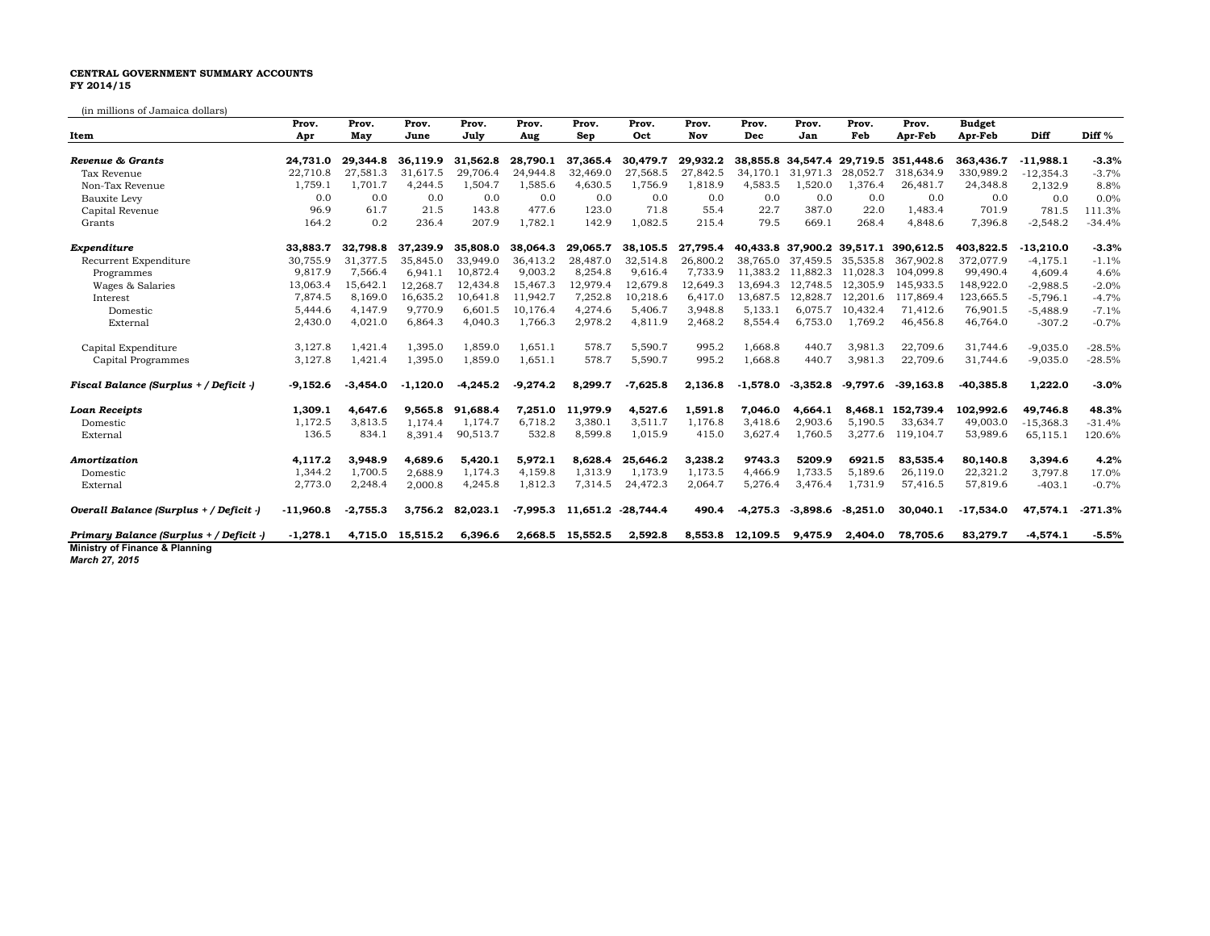## **CENTRAL GOVERNMENT SUMMARY ACCOUNTS FY 2014/15**

(in millions of Jamaica dollars)

|                                         | Prov.       | Prov.      | Prov.      | Prov.      | Prov.      | Prov.    | Prov.      | Prov.    | Prov.            | Prov.                         | Prov.      | Prov.       | <b>Budget</b> |             |                   |
|-----------------------------------------|-------------|------------|------------|------------|------------|----------|------------|----------|------------------|-------------------------------|------------|-------------|---------------|-------------|-------------------|
| Item                                    | Apr         | May        | June       | July       | Aug        | Sep      | Oct        | Nov      | Dec              | Jan                           | Feb        | Apr-Feb     | Apr-Feb       | Diff        | Diff <sup>%</sup> |
|                                         |             |            |            |            |            |          |            |          |                  |                               |            |             |               |             |                   |
| Revenue & Grants                        | 24.731.0    | 29.344.8   | 36.119.9   | 31,562.8   | 28.790.1   | 37.365.4 | 30.479.7   | 29.932.2 |                  | 38,855.8 34,547.4<br>31.971.3 | 29.719.5   | 351,448.6   | 363.436.7     | $-11.988.1$ | $-3.3%$           |
| Tax Revenue                             | 22,710.8    | 27,581.3   | 31,617.5   | 29,706.4   | 24,944.8   | 32,469.0 | 27,568.5   | 27,842.5 | 34.170.1         |                               | 28,052.7   | 318,634.9   | 330,989.2     | $-12,354.3$ | $-3.7%$           |
| Non-Tax Revenue                         | 1,759.1     | 1.701.7    | 4,244.5    | 1,504.7    | 1,585.6    | 4,630.5  | 1,756.9    | 1,818.9  | 4,583.5          | 1,520.0                       | 1,376.4    | 26,481.7    | 24,348.8      | 2,132.9     | 8.8%              |
| Bauxite Levy                            | 0.0         | 0.0        | 0.0        | 0.0        | 0.0        | 0.0      | 0.0        | 0.0      | 0.0              | 0.0                           | 0.0        | 0.0         | 0.0           | 0.0         | 0.0%              |
| Capital Revenue                         | 96.9        | 61.7       | 21.5       | 143.8      | 477.6      | 123.0    | 71.8       | 55.4     | 22.7             | 387.0                         | 22.0       | 1.483.4     | 701.9         | 781.5       | 111.3%            |
| Grants                                  | 164.2       | 0.2        | 236.4      | 207.9      | 1,782.1    | 142.9    | 1,082.5    | 215.4    | 79.5             | 669.1                         | 268.4      | 4,848.6     | 7,396.8       | $-2,548.2$  | $-34.4%$          |
| Expenditure                             | 33,883.7    | 32.798.8   | 37.239.9   | 35,808.0   | 38,064.3   | 29,065.7 | 38,105.5   | 27,795.4 |                  | 40,433.8 37,900.2 39,517.1    |            | 390.612.5   | 403.822.5     | $-13,210.0$ | $-3.3%$           |
| Recurrent Expenditure                   | 30.755.9    | 31.377.5   | 35.845.0   | 33.949.0   | 36.413.2   | 28,487.0 | 32.514.8   | 26.800.2 | 38.765.0         | 37,459.5                      | 35.535.8   | 367,902.8   | 372,077.9     | $-4, 175.1$ | $-1.1%$           |
| Programmes                              | 9,817.9     | 7,566.4    | 6.941.1    | 10,872.4   | 9,003.2    | 8,254.8  | 9,616.4    | 7,733.9  | 11,383.2         | 11,882.3                      | 11,028.3   | 104,099.8   | 99,490.4      | 4.609.4     | 4.6%              |
| Wages & Salaries                        | 13,063.4    | 15,642.1   | 12,268.7   | 12,434.8   | 15,467.3   | 12,979.4 | 12,679.8   | 12,649.3 | 13.694.3         | 12.748.5                      | 12,305.9   | 145.933.5   | 148,922.0     | $-2,988.5$  | $-2.0%$           |
| Interest                                | 7,874.5     | 8,169.0    | 16,635.2   | 10,641.8   | 11,942.7   | 7,252.8  | 10,218.6   | 6,417.0  | 13,687.5         | 12,828.7                      | 12,201.6   | 117,869.4   | 123,665.5     | $-5,796.1$  | $-4.7%$           |
| Domestic                                | 5,444.6     | 4.147.9    | 9.770.9    | 6.601.5    | 10.176.4   | 4,274.6  | 5,406.7    | 3,948.8  | 5,133.1          | 6.075.7                       | 10.432.4   | 71.412.6    | 76,901.5      | $-5,488.9$  | $-7.1%$           |
| External                                | 2,430.0     | 4,021.0    | 6,864.3    | 4,040.3    | 1,766.3    | 2,978.2  | 4,811.9    | 2,468.2  | 8,554.4          | 6,753.0                       | 1,769.2    | 46,456.8    | 46,764.0      | $-307.2$    | $-0.7%$           |
| Capital Expenditure                     | 3,127.8     | 1.421.4    | 1.395.0    | 1.859.0    | 1.651.1    | 578.7    | 5.590.7    | 995.2    | 1,668.8          | 440.7                         | 3.981.3    | 22,709.6    | 31.744.6      | $-9,035.0$  | $-28.5%$          |
| Capital Programmes                      | 3,127.8     | 1,421.4    | 1.395.0    | 1,859.0    | 1,651.1    | 578.7    | 5,590.7    | 995.2    | 1,668.8          | 440.7                         | 3,981.3    | 22,709.6    | 31,744.6      | $-9,035.0$  | $-28.5%$          |
| Fiscal Balance (Surplus + / Deficit -)  | $-9,152.6$  | $-3.454.0$ | $-1,120.0$ | $-4,245.2$ | $-9,274.2$ | 8,299.7  | $-7,625.8$ | 2,136.8  | $-1,578.0$       | $-3,352.8$                    | $-9.797.6$ | $-39.163.8$ | $-40,385.8$   | 1,222.0     | $-3.0%$           |
| <b>Loan Receipts</b>                    | 1,309.1     | 4,647.6    | 9,565.8    | 91.688.4   | 7,251.0    | 11,979.9 | 4,527.6    | 1,591.8  | 7,046.0          | 4,664.1                       | 8,468.1    | 152.739.4   | 102,992.6     | 49,746.8    | 48.3%             |
| Domestic                                | 1,172.5     | 3,813.5    | 1.174.4    | 1,174.7    | 6,718.2    | 3,380.1  | 3,511.7    | 1,176.8  | 3,418.6          | 2,903.6                       | 5,190.5    | 33,634.7    | 49,003.0      | $-15,368.3$ | $-31.4%$          |
| External                                | 136.5       | 834.1      | 8,391.4    | 90,513.7   | 532.8      | 8,599.8  | 1,015.9    | 415.0    | 3,627.4          | 1,760.5                       | 3,277.6    | 119,104.7   | 53,989.6      | 65,115.1    | 120.6%            |
| Amortization                            | 4,117.2     | 3,948.9    | 4,689.6    | 5,420.1    | 5,972.1    | 8,628.4  | 25,646.2   | 3,238.2  | 9743.3           | 5209.9                        | 6921.5     | 83.535.4    | 80,140.8      | 3,394.6     | 4.2%              |
| Domestic                                | 1,344.2     | 1,700.5    | 2.688.9    | 1.174.3    | 4,159.8    | 1.313.9  | 1.173.9    | 1,173.5  | 4.466.9          | 1,733.5                       | 5.189.6    | 26.119.0    | 22,321.2      | 3,797.8     | 17.0%             |
| External                                | 2,773.0     | 2,248.4    | 2.000.8    | 4,245.8    | 1,812.3    | 7,314.5  | 24,472.3   | 2,064.7  | 5,276.4          | 3,476.4                       | 1,731.9    | 57,416.5    | 57,819.6      | $-403.1$    | $-0.7%$           |
| Overall Balance (Surplus + / Deficit -) | $-11.960.8$ | $-2.755.3$ | 3.756.2    | 82.023.1   | $-7.995.3$ | 11.651.2 | -28.744.4  | 490.4    | $-4.275.3$       | $-3.898.6$                    | $-8,251.0$ | 30,040.1    | $-17,534.0$   | 47.574.1    | $-271.3%$         |
| Primary Balance (Surplus + / Deficit -) | $-1,278.1$  | 4.715.0    | 15.515.2   | 6.396.6    | 2.668.5    | 15,552.5 | 2,592.8    |          | 8,553.8 12,109.5 | 9.475.9                       | 2.404.0    | 78.705.6    | 83,279.7      | $-4,574.1$  | $-5.5%$           |
| Ministry of Finance & Planning          |             |            |            |            |            |          |            |          |                  |                               |            |             |               |             |                   |

*March 27, 2015*